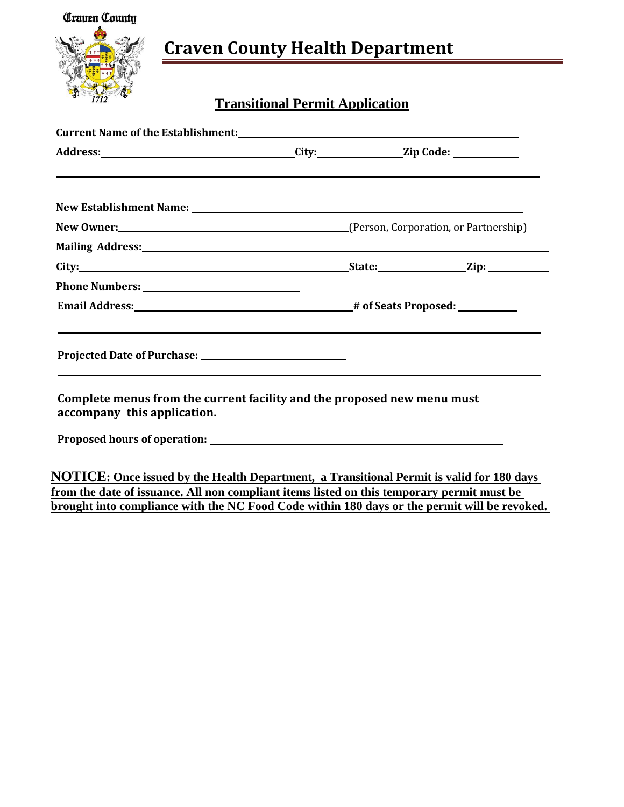

# **Craven County Health Department**

# **Transitional Permit Application**

| ,我们也不会有什么。""我们的人,我们也不会有什么?""我们的人,我们也不会有什么?""我们的人,我们也不会有什么?""我们的人,我们也不会有什么?""我们的人                               |  |  |
|----------------------------------------------------------------------------------------------------------------|--|--|
|                                                                                                                |  |  |
|                                                                                                                |  |  |
| Mailing Address: 1988 and 2008 and 2008 and 2008 and 2008 and 2008 and 2008 and 2008 and 2008 and 2008 and 200 |  |  |
|                                                                                                                |  |  |
|                                                                                                                |  |  |
|                                                                                                                |  |  |
| ,我们也不会有什么。""我们的人,我们也不会有什么?""我们的人,我们也不会有什么?""我们的人,我们也不会有什么?""我们的人,我们也不会有什么?""我们的人                               |  |  |
| Complete menus from the current facility and the proposed new menu must<br>accompany this application.         |  |  |
|                                                                                                                |  |  |

**NOTICE: Once issued by the Health Department, a Transitional Permit is valid for 180 days from the date of issuance. All non compliant items listed on this temporary permit must be brought into compliance with the NC Food Code within 180 days or the permit will be revoked.**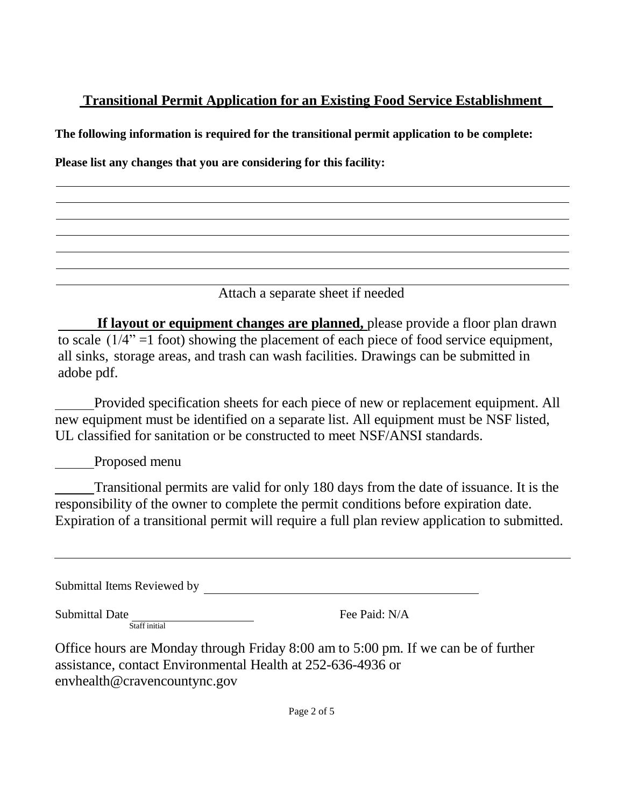**The following information is required for the transitional permit application to be complete:**

**Please list any changes that you are considering for this facility:**

Attach a separate sheet if needed

**If layout or equipment changes are planned,** please provide a floor plan drawn to scale  $(1/4" = 1$  foot) showing the placement of each piece of food service equipment, all sinks, storage areas, and trash can wash facilities. Drawings can be submitted in adobe pdf.

Provided specification sheets for each piece of new or replacement equipment. All new equipment must be identified on a separate list. All equipment must be NSF listed, UL classified for sanitation or be constructed to meet NSF/ANSI standards.

Proposed menu

Transitional permits are valid for only 180 days from the date of issuance. It is the responsibility of the owner to complete the permit conditions before expiration date. Expiration of a transitional permit will require a full plan review application to submitted.

Submittal Items Reviewed by **Example 20** and the set of the set of the set of the set of the set of the set of the set of the set of the set of the set of the set of the set of the set of the set of the set of the set of t

Submittal Date Staff initial Fee Paid: N/A

Office hours are Monday through Friday 8:00 am to 5:00 pm. If we can be of further assistance, contact Environmental Health at 252-636-4936 or envhealth@cravencountync.gov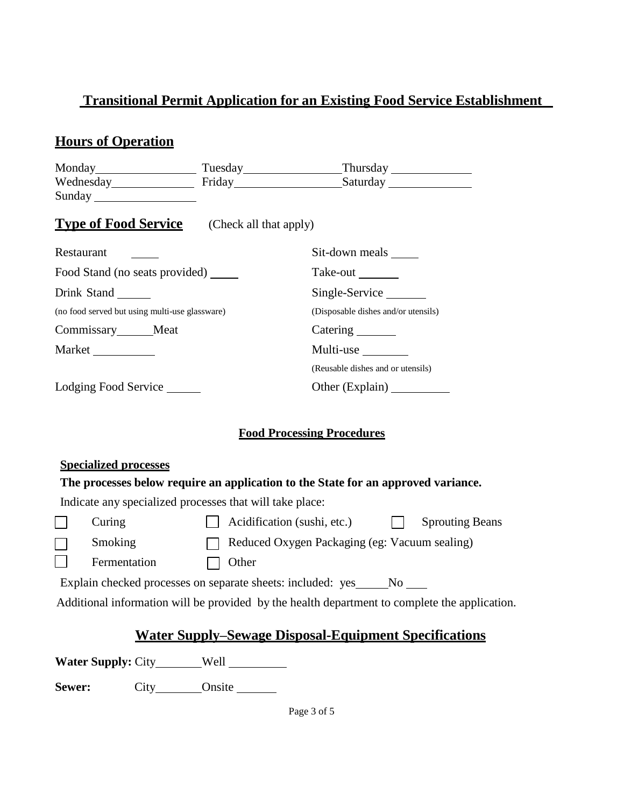# **Hours of Operation**

|                                                |                        | Tuesday Thursday Thursday           |
|------------------------------------------------|------------------------|-------------------------------------|
|                                                |                        | Wednesday Friday Friday Saturday    |
|                                                |                        |                                     |
| <b>Type of Food Service</b>                    | (Check all that apply) |                                     |
| Restaurant                                     |                        | Sit-down meals                      |
| Food Stand (no seats provided)                 |                        | Take-out ________                   |
| Drink Stand                                    |                        | Single-Service                      |
| (no food served but using multi-use glassware) |                        | (Disposable dishes and/or utensils) |
| Commissary Meat                                |                        | Catering ________                   |
| Market                                         |                        | Multi-use                           |
|                                                |                        | (Reusable dishes and or utensils)   |
| Lodging Food Service                           |                        |                                     |

#### **Food Processing Procedures**

|                                                              | <b>Specialized processes</b>   |                                                                                               |  |  |  |
|--------------------------------------------------------------|--------------------------------|-----------------------------------------------------------------------------------------------|--|--|--|
|                                                              |                                | The processes below require an application to the State for an approved variance.             |  |  |  |
|                                                              |                                | Indicate any specialized processes that will take place:                                      |  |  |  |
|                                                              | Curing                         | Acidification (sushi, etc.)<br><b>Sprouting Beans</b>                                         |  |  |  |
|                                                              | Smoking                        | Reduced Oxygen Packaging (eg: Vacuum sealing)                                                 |  |  |  |
|                                                              | Fermentation                   | Other                                                                                         |  |  |  |
|                                                              |                                | Explain checked processes on separate sheets: included: yes ______No _____                    |  |  |  |
|                                                              |                                | Additional information will be provided by the health department to complete the application. |  |  |  |
| <u>Water Supply–Sewage Disposal-Equipment Specifications</u> |                                |                                                                                               |  |  |  |
|                                                              | <b>Water Supply: City</b> Well |                                                                                               |  |  |  |

**Sewer:** City Onsite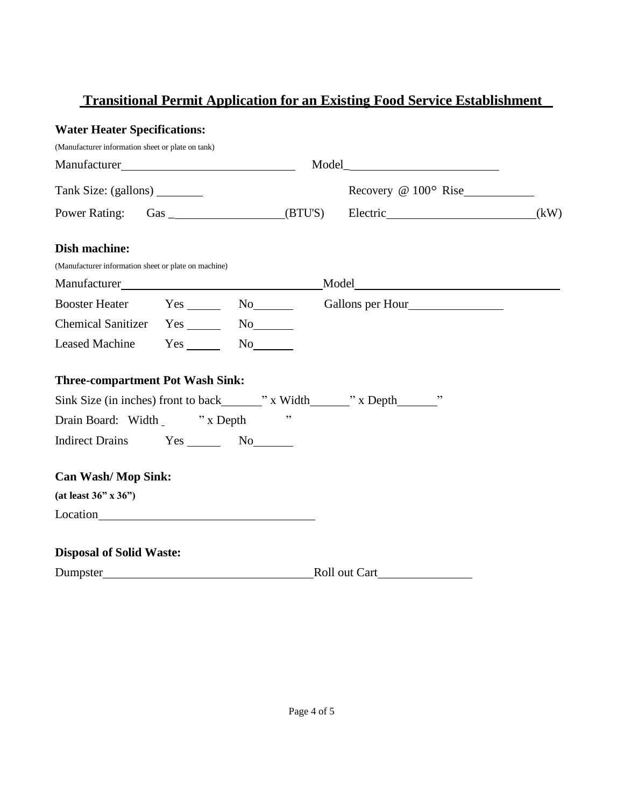#### **Water Heater Specifications:**

| (Manufacturer information sheet or plate on tank)    |  |    |                    |                                                                                |  |
|------------------------------------------------------|--|----|--------------------|--------------------------------------------------------------------------------|--|
|                                                      |  |    | $\text{Model}\_\_$ |                                                                                |  |
| Tank Size: (gallons) ________                        |  |    |                    | Recovery @ 100° Rise                                                           |  |
|                                                      |  |    |                    | Power Rating: Gas _________________(BTU'S) Electric_______________________(kW) |  |
| <b>Dish machine:</b>                                 |  |    |                    |                                                                                |  |
| (Manufacturer information sheet or plate on machine) |  |    |                    |                                                                                |  |
|                                                      |  |    |                    |                                                                                |  |
|                                                      |  |    |                    | Booster Heater Yes No Gallons per Hour                                         |  |
| Chemical Sanitizer Yes _______ No_______             |  |    |                    |                                                                                |  |
| Leased Machine Yes _______ No_______                 |  |    |                    |                                                                                |  |
| <b>Three-compartment Pot Wash Sink:</b>              |  |    |                    |                                                                                |  |
|                                                      |  |    |                    |                                                                                |  |
| Drain Board: Width _ "x Depth"                       |  | ,, |                    |                                                                                |  |
|                                                      |  |    |                    |                                                                                |  |
| <b>Can Wash/Mop Sink:</b>                            |  |    |                    |                                                                                |  |
| (at least $36" \times 36"$ )                         |  |    |                    |                                                                                |  |
|                                                      |  |    |                    |                                                                                |  |
| <b>Disposal of Solid Waste:</b>                      |  |    |                    |                                                                                |  |
|                                                      |  |    |                    |                                                                                |  |
|                                                      |  |    |                    |                                                                                |  |